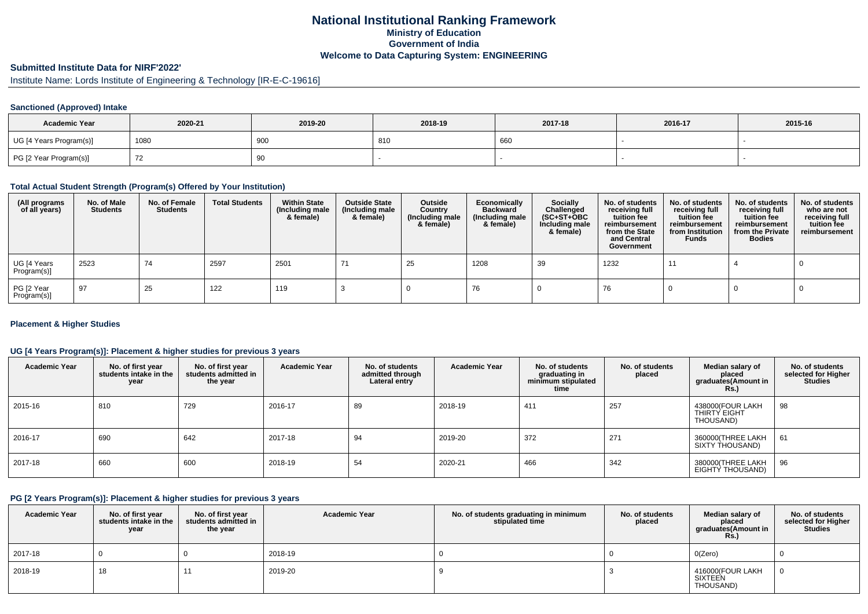## **National Institutional Ranking FrameworkMinistry of Education Government of IndiaWelcome to Data Capturing System: ENGINEERING**

# **Submitted Institute Data for NIRF'2022'**

Institute Name: Lords Institute of Engineering & Technology [IR-E-C-19616]

## **Sanctioned (Approved) Intake**

| <b>Academic Year</b>    | 2020-21 | 2019-20 | 2018-19 | 2017-18 | 2016-17 | 2015-16 |
|-------------------------|---------|---------|---------|---------|---------|---------|
| UG [4 Years Program(s)] | 1080    | 900     | 810     | 660     |         |         |
| PG [2 Year Program(s)]  |         | 90      |         |         |         |         |

#### **Total Actual Student Strength (Program(s) Offered by Your Institution)**

| (All programs<br>of all years) | No. of Male<br><b>Students</b> | No. of Female<br><b>Students</b> | <b>Total Students</b> | <b>Within State</b><br>(Including male<br>& female) | <b>Outside State</b><br>(Including male<br>& female) | Outside<br>Country<br>(Including male<br>& female) | Economically<br><b>Backward</b><br>(Including male<br>& female) | Socially<br>Challenged<br>$(SC+ST+OBC)$<br>Including male<br>& female) | No. of students<br>receiving full<br>tuition fee<br>reimbursement<br>from the State<br>and Central<br>Government | No. of students<br>receiving full<br>tuition fee<br>reimbursement<br>from Institution<br><b>Funds</b> | No. of students<br>receiving full<br>tuition fee<br>reimbursement<br>from the Private<br><b>Bodies</b> | No. of students<br>who are not<br>receiving full<br>tuition fee<br>reimbursement |
|--------------------------------|--------------------------------|----------------------------------|-----------------------|-----------------------------------------------------|------------------------------------------------------|----------------------------------------------------|-----------------------------------------------------------------|------------------------------------------------------------------------|------------------------------------------------------------------------------------------------------------------|-------------------------------------------------------------------------------------------------------|--------------------------------------------------------------------------------------------------------|----------------------------------------------------------------------------------|
| UG [4 Years<br>Program(s)]     | 2523                           | 74                               | 2597                  | 2501                                                | 71                                                   | 25                                                 | 1208                                                            | 39                                                                     | 1232                                                                                                             | 11                                                                                                    |                                                                                                        |                                                                                  |
| PG [2 Year<br>Program(s)]      | 97                             | 25                               | 122                   | 119                                                 |                                                      |                                                    | 76                                                              |                                                                        | 76                                                                                                               |                                                                                                       |                                                                                                        |                                                                                  |

### **Placement & Higher Studies**

## **UG [4 Years Program(s)]: Placement & higher studies for previous 3 years**

| <b>Academic Year</b> | No. of first year<br>students intake in the<br>year | No. of first vear<br>students admitted in<br>the year | <b>Academic Year</b> | No. of students<br>admitted through<br>Lateral entry | <b>Academic Year</b> | No. of students<br>graduating in<br>minimum stipulated<br>time | No. of students<br>placed | Median salary of<br>placed<br>graduates(Amount in<br><b>Rs.)</b> | No. of students<br>selected for Higher<br><b>Studies</b> |
|----------------------|-----------------------------------------------------|-------------------------------------------------------|----------------------|------------------------------------------------------|----------------------|----------------------------------------------------------------|---------------------------|------------------------------------------------------------------|----------------------------------------------------------|
| 2015-16              | 810                                                 | 729                                                   | 2016-17              | 89                                                   | 2018-19              | 411                                                            | 257                       | 438000(FOUR LAKH<br>THIRTY EIGHT<br>THOUSAND)                    | 98                                                       |
| 2016-17              | 690                                                 | 642                                                   | 2017-18              | 94                                                   | 2019-20              | 372                                                            | 271                       | 360000(THREE LAKH<br>SIXTY THOUSAND)                             | 61                                                       |
| 2017-18              | 660                                                 | 600                                                   | 2018-19              | 54                                                   | 2020-21              | 466                                                            | 342                       | 380000(THREE LAKH<br>EIGHTY THOUSAND)                            | 96                                                       |

#### **PG [2 Years Program(s)]: Placement & higher studies for previous 3 years**

| <b>Academic Year</b> | No. of first year<br>students intake in the I<br>year | No. of first vear<br>students admitted in<br>the year | <b>Academic Year</b> | No. of students graduating in minimum<br>stipulated time | No. of students<br>placed | Median salary of<br>placed<br>graduates(Amount in<br>Rs. | No. of students<br>selected for Higher<br><b>Studies</b> |
|----------------------|-------------------------------------------------------|-------------------------------------------------------|----------------------|----------------------------------------------------------|---------------------------|----------------------------------------------------------|----------------------------------------------------------|
| 2017-18              |                                                       |                                                       | 2018-19              |                                                          |                           | O(Zero)                                                  |                                                          |
| 2018-19              | 18                                                    |                                                       | 2019-20              |                                                          |                           | 416000(FOUR LAKH<br>SIXTEEN<br>THOUSAND)                 |                                                          |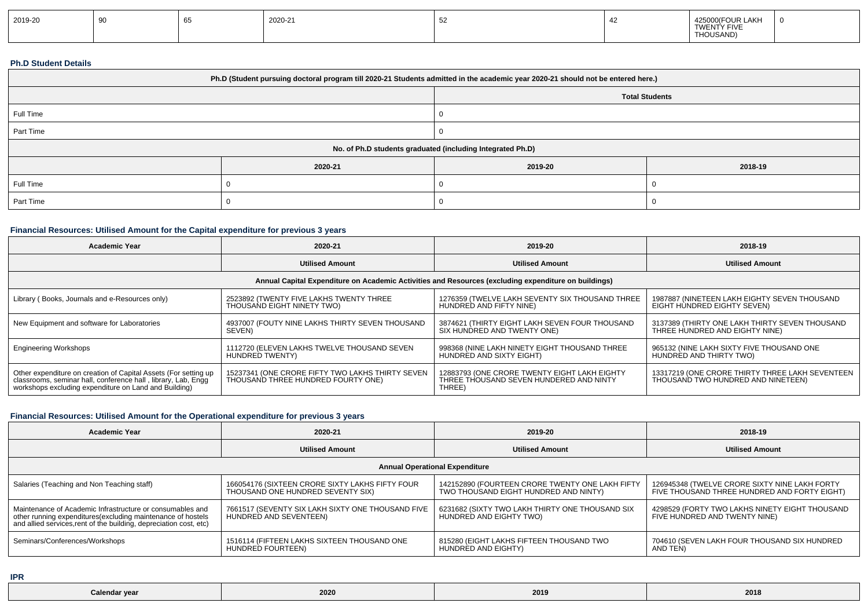| 2019-20 |  |  | 2020-21 | ັ |  | <b>OUR LAKH</b><br>′ FIVF<br>I WEN I<br>THOUSAND)<br>$\cdots$ |  |
|---------|--|--|---------|---|--|---------------------------------------------------------------|--|
|---------|--|--|---------|---|--|---------------------------------------------------------------|--|

#### **Ph.D Student Details**

| Ph.D (Student pursuing doctoral program till 2020-21 Students admitted in the academic year 2020-21 should not be entered here.) |                                                            |         |         |  |  |  |  |
|----------------------------------------------------------------------------------------------------------------------------------|------------------------------------------------------------|---------|---------|--|--|--|--|
| <b>Total Students</b>                                                                                                            |                                                            |         |         |  |  |  |  |
| Full Time                                                                                                                        |                                                            |         |         |  |  |  |  |
| Part Time                                                                                                                        |                                                            |         |         |  |  |  |  |
|                                                                                                                                  | No. of Ph.D students graduated (including Integrated Ph.D) |         |         |  |  |  |  |
|                                                                                                                                  | 2020-21                                                    | 2019-20 | 2018-19 |  |  |  |  |
| Full Time                                                                                                                        |                                                            |         |         |  |  |  |  |
| Part Time                                                                                                                        |                                                            |         |         |  |  |  |  |

## **Financial Resources: Utilised Amount for the Capital expenditure for previous 3 years**

| <b>Academic Year</b>                                                                                                                                                                      | 2020-21                                                                                              | 2019-20                                                                                           | 2018-19                                                                               |  |  |  |  |  |  |
|-------------------------------------------------------------------------------------------------------------------------------------------------------------------------------------------|------------------------------------------------------------------------------------------------------|---------------------------------------------------------------------------------------------------|---------------------------------------------------------------------------------------|--|--|--|--|--|--|
|                                                                                                                                                                                           | <b>Utilised Amount</b>                                                                               | <b>Utilised Amount</b>                                                                            | <b>Utilised Amount</b>                                                                |  |  |  |  |  |  |
|                                                                                                                                                                                           | Annual Capital Expenditure on Academic Activities and Resources (excluding expenditure on buildings) |                                                                                                   |                                                                                       |  |  |  |  |  |  |
| Library (Books, Journals and e-Resources only)                                                                                                                                            | 2523892 (TWENTY FIVE LAKHS TWENTY THREE<br>THOUSAND EIGHT NINETY TWO)                                | 1276359 (TWELVE LAKH SEVENTY SIX THOUSAND THREE<br>HUNDRED AND FIFTY NINE)                        | 1987887 (NINETEEN LAKH EIGHTY SEVEN THOUSAND<br>EIGHT HUNDRED EIGHTY SEVEN)           |  |  |  |  |  |  |
| New Equipment and software for Laboratories                                                                                                                                               | 4937007 (FOUTY NINE LAKHS THIRTY SEVEN THOUSAND<br>SEVEN)                                            | 3874621 (THIRTY EIGHT LAKH SEVEN FOUR THOUSAND<br>SIX HUNDRED AND TWENTY ONE)                     | 3137389 (THIRTY ONE LAKH THIRTY SEVEN THOUSAND<br>THREE HUNDRED AND EIGHTY NINE)      |  |  |  |  |  |  |
| <b>Engineering Workshops</b>                                                                                                                                                              | 1112720 (ELEVEN LAKHS TWELVE THOUSAND SEVEN<br>HUNDRED TWENTY)                                       | 998368 (NINE LAKH NINETY EIGHT THOUSAND THREE<br>HUNDRED AND SIXTY EIGHT)                         | 965132 (NINE LAKH SIXTY FIVE THOUSAND ONE<br>HUNDRED AND THIRTY TWO)                  |  |  |  |  |  |  |
| Other expenditure on creation of Capital Assets (For setting up<br>classrooms, seminar hall, conference hall, library, Lab, Engg<br>workshops excluding expenditure on Land and Building) | 15237341 (ONE CRORE FIFTY TWO LAKHS THIRTY SEVEN<br>THOUSAND THREE HUNDRED FOURTY ONE)               | 12883793 (ONE CRORE TWENTY EIGHT LAKH EIGHTY<br>THREE THOUSAND SEVEN HUNDERED AND NINTY<br>THREE) | 13317219 (ONE CRORE THIRTY THREE LAKH SEVENTEEN<br>THOUSAND TWO HUNDRED AND NINETEEN) |  |  |  |  |  |  |

## **Financial Resources: Utilised Amount for the Operational expenditure for previous 3 years**

| <b>Academic Year</b>                                                                                                               | 2020-21                                           | 2019-20                                         | 2018-19                                        |  |  |  |  |  |
|------------------------------------------------------------------------------------------------------------------------------------|---------------------------------------------------|-------------------------------------------------|------------------------------------------------|--|--|--|--|--|
|                                                                                                                                    | <b>Utilised Amount</b>                            | <b>Utilised Amount</b>                          | <b>Utilised Amount</b>                         |  |  |  |  |  |
| <b>Annual Operational Expenditure</b>                                                                                              |                                                   |                                                 |                                                |  |  |  |  |  |
| Salaries (Teaching and Non Teaching staff)                                                                                         | 166054176 (SIXTEEN CRORE SIXTY LAKHS FIFTY FOUR   | 142152890 (FOURTEEN CRORE TWENTY ONE LAKH FIFTY | 126945348 (TWELVE CRORE SIXTY NINE LAKH FORTY  |  |  |  |  |  |
|                                                                                                                                    | THOUSAND ONE HUNDRED SEVENTY SIX)                 | TWO THOUSAND EIGHT HUNDRED AND NINTY)           | FIVE THOUSAND THREE HUNDRED AND FORTY EIGHT)   |  |  |  |  |  |
| Maintenance of Academic Infrastructure or consumables and                                                                          | 7661517 (SEVENTY SIX LAKH SIXTY ONE THOUSAND FIVE | 6231682 (SIXTY TWO LAKH THIRTY ONE THOUSAND SIX | 4298529 (FORTY TWO LAKHS NINETY EIGHT THOUSAND |  |  |  |  |  |
| other running expenditures (excluding maintenance of hostels<br>and allied services, rent of the building, depreciation cost, etc) | HUNDRED AND SEVENTEEN)                            | HUNDRED AND EIGHTY TWO)                         | FIVE HUNDRED AND TWENTY NINE)                  |  |  |  |  |  |
| Seminars/Conferences/Workshops                                                                                                     | 1516114 (FIFTEEN LAKHS SIXTEEN THOUSAND ONE       | 815280 (EIGHT LAKHS FIFTEEN THOUSAND TWO        | 704610 (SEVEN LAKH FOUR THOUSAND SIX HUNDRED   |  |  |  |  |  |
|                                                                                                                                    | HUNDRED FOURTEEN)                                 | HUNDRED AND EIGHTY)                             | AND TEN)                                       |  |  |  |  |  |

**IPR**

| alanda.<br>$\overline{\mathbf{u}}$<br>valchur | 2020 | 2019 | 2018 |
|-----------------------------------------------|------|------|------|
|-----------------------------------------------|------|------|------|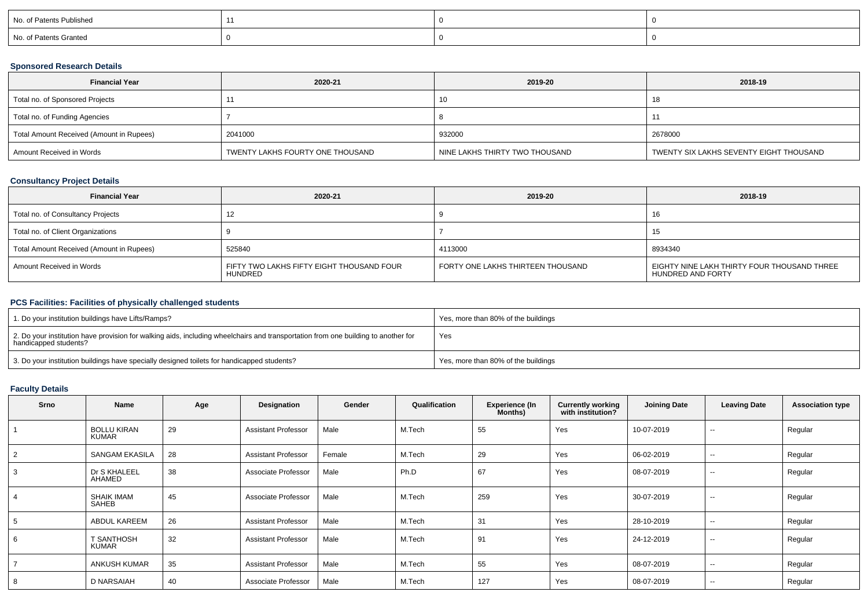| No. of Patents Published |  |  |
|--------------------------|--|--|
| No. of Patents Granted   |  |  |

## **Sponsored Research Details**

| <b>Financial Year</b>                    | 2020-21                          | 2019-20                        | 2018-19                                 |
|------------------------------------------|----------------------------------|--------------------------------|-----------------------------------------|
| Total no. of Sponsored Projects          |                                  | 10                             | 18                                      |
| Total no. of Funding Agencies            |                                  |                                |                                         |
| Total Amount Received (Amount in Rupees) | 2041000                          | 932000                         | 2678000                                 |
| Amount Received in Words                 | TWENTY LAKHS FOURTY ONE THOUSAND | NINE LAKHS THIRTY TWO THOUSAND | TWENTY SIX LAKHS SEVENTY EIGHT THOUSAND |

## **Consultancy Project Details**

| <b>Financial Year</b>                    | 2020-21                                              | 2019-20                           | 2018-19                                                          |
|------------------------------------------|------------------------------------------------------|-----------------------------------|------------------------------------------------------------------|
| Total no. of Consultancy Projects        | - 1                                                  |                                   | ıb                                                               |
| Total no. of Client Organizations        |                                                      |                                   |                                                                  |
| Total Amount Received (Amount in Rupees) | 525840                                               | 4113000                           | 8934340                                                          |
| Amount Received in Words                 | FIFTY TWO LAKHS FIFTY EIGHT THOUSAND FOUR<br>HUNDRED | FORTY ONE LAKHS THIRTEEN THOUSAND | EIGHTY NINE LAKH THIRTY FOUR THOUSAND THREE<br>HUNDRED AND FORTY |

# **PCS Facilities: Facilities of physically challenged students**

| 1. Do your institution buildings have Lifts/Ramps?                                                                                                         | Yes, more than 80% of the buildings |
|------------------------------------------------------------------------------------------------------------------------------------------------------------|-------------------------------------|
| 2. Do your institution have provision for walking aids, including wheelchairs and transportation from one building to another for<br>handicapped students? | Yes                                 |
| 3. Do your institution buildings have specially designed toilets for handicapped students?                                                                 | Yes, more than 80% of the buildings |

# **Faculty Details**

| <b>Srno</b> | Name                              | Age | Designation                | Gender | Qualification | <b>Experience (In</b><br>Months) | <b>Currently working</b><br>with institution? | <b>Joining Date</b> | <b>Leaving Date</b>      | <b>Association type</b> |
|-------------|-----------------------------------|-----|----------------------------|--------|---------------|----------------------------------|-----------------------------------------------|---------------------|--------------------------|-------------------------|
|             | <b>BOLLU KIRAN</b><br>KUMAR       | 29  | <b>Assistant Professor</b> | Male   | M.Tech        | 55                               | Yes                                           | 10-07-2019          | $\overline{\phantom{a}}$ | Regular                 |
|             | <b>SANGAM EKASILA</b>             | 28  | <b>Assistant Professor</b> | Female | M.Tech        | 29                               | Yes                                           | 06-02-2019          | $\sim$                   | Regular                 |
|             | Dr S KHALEEL<br>AHAMED            | 38  | Associate Professor        | Male   | Ph.D          | 67                               | Yes                                           | 08-07-2019          | $\overline{\phantom{a}}$ | Regular                 |
|             | <b>SHAIK IMAM</b><br><b>SAHEB</b> | 45  | Associate Professor        | Male   | M.Tech        | 259                              | Yes                                           | 30-07-2019          | $\overline{\phantom{a}}$ | Regular                 |
|             | <b>ABDUL KAREEM</b>               | 26  | <b>Assistant Professor</b> | Male   | M.Tech        | 31                               | Yes                                           | 28-10-2019          | $\sim$                   | Regular                 |
| 6           | T SANTHOSH<br><b>KUMAR</b>        | 32  | <b>Assistant Professor</b> | Male   | M.Tech        | 91                               | Yes                                           | 24-12-2019          | $\overline{\phantom{a}}$ | Regular                 |
|             | <b>ANKUSH KUMAR</b>               | 35  | <b>Assistant Professor</b> | Male   | M.Tech        | 55                               | Yes                                           | 08-07-2019          | $\sim$                   | Regular                 |
|             | D NARSAIAH                        | 40  | Associate Professor        | Male   | M.Tech        | 127                              | Yes                                           | 08-07-2019          | $\sim$                   | Regular                 |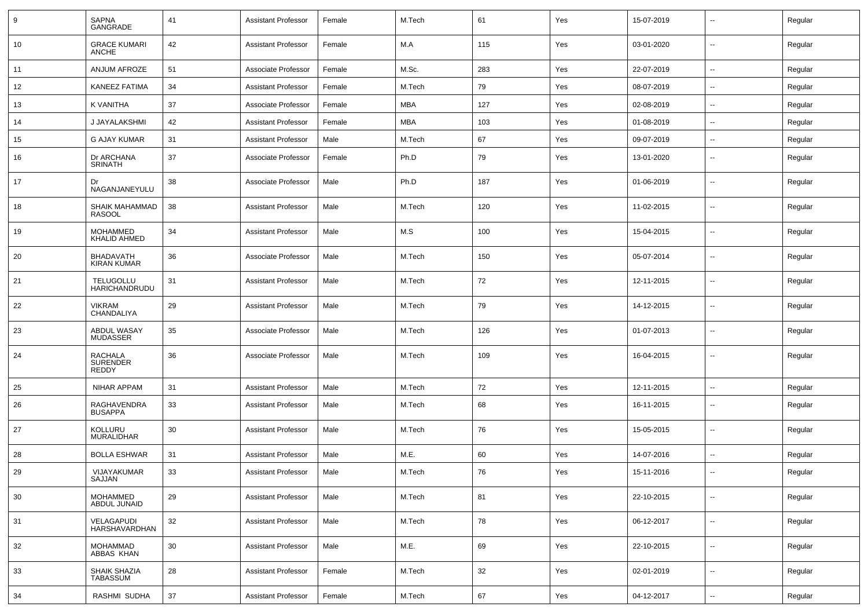| 9  | <b>SAPNA</b><br>GANGRADE                          | 41     | <b>Assistant Professor</b> | Female | M.Tech     | 61  | Yes | 15-07-2019 | $\sim$                   | Regular |
|----|---------------------------------------------------|--------|----------------------------|--------|------------|-----|-----|------------|--------------------------|---------|
| 10 | <b>GRACE KUMARI</b><br><b>ANCHE</b>               | 42     | <b>Assistant Professor</b> | Female | M.A        | 115 | Yes | 03-01-2020 | $\sim$                   | Regular |
| 11 | ANJUM AFROZE                                      | 51     | Associate Professor        | Female | M.Sc.      | 283 | Yes | 22-07-2019 | $\overline{\phantom{a}}$ | Regular |
| 12 | <b>KANEEZ FATIMA</b>                              | 34     | <b>Assistant Professor</b> | Female | M.Tech     | 79  | Yes | 08-07-2019 | $\sim$                   | Regular |
| 13 | K VANITHA                                         | 37     | Associate Professor        | Female | <b>MBA</b> | 127 | Yes | 02-08-2019 | $\sim$                   | Regular |
| 14 | J JAYALAKSHMI                                     | 42     | <b>Assistant Professor</b> | Female | <b>MBA</b> | 103 | Yes | 01-08-2019 | $\overline{a}$           | Regular |
| 15 | G AJAY KUMAR                                      | 31     | <b>Assistant Professor</b> | Male   | M.Tech     | 67  | Yes | 09-07-2019 | $\overline{a}$           | Regular |
| 16 | Dr ARCHANA<br><b>SRINATH</b>                      | 37     | Associate Professor        | Female | Ph.D       | 79  | Yes | 13-01-2020 | $\overline{\phantom{a}}$ | Regular |
| 17 | Dr<br>NAGANJANEYULU                               | 38     | Associate Professor        | Male   | Ph.D       | 187 | Yes | 01-06-2019 | $\sim$                   | Regular |
| 18 | SHAIK MAHAMMAD<br><b>RASOOL</b>                   | 38     | <b>Assistant Professor</b> | Male   | M.Tech     | 120 | Yes | 11-02-2015 | $\overline{\phantom{a}}$ | Regular |
| 19 | <b>MOHAMMED</b><br><b>KHALID AHMED</b>            | 34     | <b>Assistant Professor</b> | Male   | M.S        | 100 | Yes | 15-04-2015 | $\sim$                   | Regular |
| 20 | BHADAVATH<br><b>KIRAN KUMAR</b>                   | 36     | Associate Professor        | Male   | M.Tech     | 150 | Yes | 05-07-2014 | $\overline{\phantom{a}}$ | Regular |
| 21 | TELUGOLLU<br>HARICHANDRUDU                        | 31     | <b>Assistant Professor</b> | Male   | M.Tech     | 72  | Yes | 12-11-2015 | $\sim$                   | Regular |
| 22 | <b>VIKRAM</b><br>CHANDALIYA                       | 29     | <b>Assistant Professor</b> | Male   | M.Tech     | 79  | Yes | 14-12-2015 | $\overline{\phantom{a}}$ | Regular |
| 23 | ABDUL WASAY<br><b>MUDASSER</b>                    | 35     | Associate Professor        | Male   | M.Tech     | 126 | Yes | 01-07-2013 | $\overline{\phantom{a}}$ | Regular |
| 24 | <b>RACHALA</b><br><b>SURENDER</b><br><b>REDDY</b> | 36     | Associate Professor        | Male   | M.Tech     | 109 | Yes | 16-04-2015 | $\overline{\phantom{a}}$ | Regular |
| 25 | <b>NIHAR APPAM</b>                                | 31     | <b>Assistant Professor</b> | Male   | M.Tech     | 72  | Yes | 12-11-2015 | $\overline{a}$           | Regular |
| 26 | RAGHAVENDRA<br><b>BUSAPPA</b>                     | 33     | <b>Assistant Professor</b> | Male   | M.Tech     | 68  | Yes | 16-11-2015 | $\overline{\phantom{a}}$ | Regular |
| 27 | <b>KOLLURU</b><br>MURALIDHAR                      | 30     | <b>Assistant Professor</b> | Male   | M.Tech     | 76  | Yes | 15-05-2015 | $\sim$                   | Regular |
| 28 | <b>BOLLA ESHWAR</b>                               | 31     | <b>Assistant Professor</b> | Male   | M.E.       | 60  | Yes | 14-07-2016 | $\overline{\phantom{a}}$ | Regular |
| 29 | VIJAYAKUMAR<br>SAJJAN                             | 33     | Assistant Professor        | Male   | M.Tech     | 76  | Yes | 15-11-2016 |                          | Regular |
| 30 | MOHAMMED<br>ABDUL JUNAID                          | 29     | Assistant Professor        | Male   | M.Tech     | 81  | Yes | 22-10-2015 | $\overline{\phantom{a}}$ | Regular |
| 31 | VELAGAPUDI<br>HARSHAVARDHAN                       | 32     | Assistant Professor        | Male   | M.Tech     | 78  | Yes | 06-12-2017 | $\overline{\phantom{a}}$ | Regular |
| 32 | MOHAMMAD<br>ABBAS KHAN                            | 30     | <b>Assistant Professor</b> | Male   | M.E.       | 69  | Yes | 22-10-2015 | $\overline{\phantom{a}}$ | Regular |
| 33 | SHAIK SHAZIA<br>TABASSUM                          | 28     | <b>Assistant Professor</b> | Female | M.Tech     | 32  | Yes | 02-01-2019 | $\overline{\phantom{a}}$ | Regular |
| 34 | RASHMI SUDHA                                      | $37\,$ | Assistant Professor        | Female | M.Tech     | 67  | Yes | 04-12-2017 | $\sim$                   | Regular |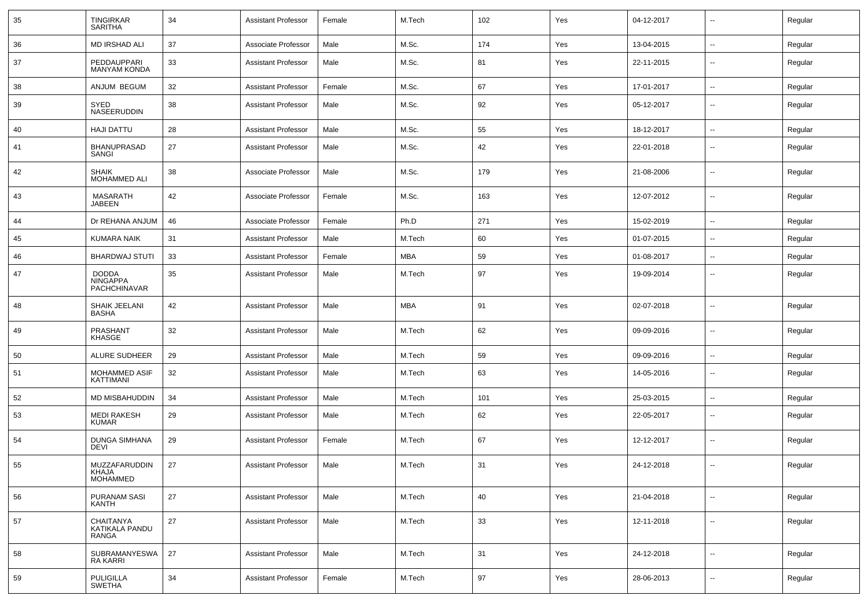| 35 | <b>TINGIRKAR</b><br><b>SARITHA</b>                     | 34 | <b>Assistant Professor</b> | Female | M.Tech     | 102 | Yes | 04-12-2017 | $\overline{\phantom{a}}$ | Regular |
|----|--------------------------------------------------------|----|----------------------------|--------|------------|-----|-----|------------|--------------------------|---------|
| 36 | MD IRSHAD ALI                                          | 37 | Associate Professor        | Male   | M.Sc.      | 174 | Yes | 13-04-2015 | $\sim$                   | Regular |
| 37 | PEDDAUPPARI<br><b>MANYAM KONDA</b>                     | 33 | <b>Assistant Professor</b> | Male   | M.Sc.      | 81  | Yes | 22-11-2015 | --                       | Regular |
| 38 | ANJUM BEGUM                                            | 32 | <b>Assistant Professor</b> | Female | M.Sc.      | 67  | Yes | 17-01-2017 | $\overline{\phantom{a}}$ | Regular |
| 39 | SYED<br>NASEERUDDIN                                    | 38 | <b>Assistant Professor</b> | Male   | M.Sc.      | 92  | Yes | 05-12-2017 | --                       | Regular |
| 40 | <b>HAJI DATTU</b>                                      | 28 | <b>Assistant Professor</b> | Male   | M.Sc.      | 55  | Yes | 18-12-2017 | $\sim$                   | Regular |
| 41 | <b>BHANUPRASAD</b><br>SANGI                            | 27 | <b>Assistant Professor</b> | Male   | M.Sc.      | 42  | Yes | 22-01-2018 | --                       | Regular |
| 42 | <b>SHAIK</b><br>MOHAMMED ALI                           | 38 | Associate Professor        | Male   | M.Sc.      | 179 | Yes | 21-08-2006 | --                       | Regular |
| 43 | <b>MASARATH</b><br><b>JABEEN</b>                       | 42 | Associate Professor        | Female | M.Sc.      | 163 | Yes | 12-07-2012 | --                       | Regular |
| 44 | Dr REHANA ANJUM                                        | 46 | Associate Professor        | Female | Ph.D       | 271 | Yes | 15-02-2019 | --                       | Regular |
| 45 | <b>KUMARA NAIK</b>                                     | 31 | <b>Assistant Professor</b> | Male   | M.Tech     | 60  | Yes | 01-07-2015 | --                       | Regular |
| 46 | <b>BHARDWAJ STUTI</b>                                  | 33 | <b>Assistant Professor</b> | Female | <b>MBA</b> | 59  | Yes | 01-08-2017 | $\sim$                   | Regular |
| 47 | <b>DODDA</b><br><b>NINGAPPA</b><br><b>PACHCHINAVAR</b> | 35 | <b>Assistant Professor</b> | Male   | M.Tech     | 97  | Yes | 19-09-2014 | --                       | Regular |
| 48 | SHAIK JEELANI<br><b>BASHA</b>                          | 42 | <b>Assistant Professor</b> | Male   | <b>MBA</b> | 91  | Yes | 02-07-2018 | $\overline{\phantom{a}}$ | Regular |
| 49 | PRASHANT<br><b>KHASGE</b>                              | 32 | <b>Assistant Professor</b> | Male   | M.Tech     | 62  | Yes | 09-09-2016 | $\sim$                   | Regular |
| 50 | ALURE SUDHEER                                          | 29 | <b>Assistant Professor</b> | Male   | M.Tech     | 59  | Yes | 09-09-2016 | $\overline{\phantom{a}}$ | Regular |
| 51 | MOHAMMED ASIF<br>KATTIMANI                             | 32 | <b>Assistant Professor</b> | Male   | M.Tech     | 63  | Yes | 14-05-2016 | $\overline{\phantom{a}}$ | Regular |
| 52 | MD MISBAHUDDIN                                         | 34 | <b>Assistant Professor</b> | Male   | M.Tech     | 101 | Yes | 25-03-2015 | $\sim$                   | Regular |
| 53 | <b>MEDI RAKESH</b><br><b>KUMAR</b>                     | 29 | <b>Assistant Professor</b> | Male   | M.Tech     | 62  | Yes | 22-05-2017 | ۰.                       | Regular |
| 54 | <b>DUNGA SIMHANA</b><br><b>DEVI</b>                    | 29 | <b>Assistant Professor</b> | Female | M.Tech     | 67  | Yes | 12-12-2017 | $\overline{\phantom{a}}$ | Regular |
| 55 | MUZZAFARUDDIN<br>KHAJA<br>MOHAMMED                     | 27 | <b>Assistant Professor</b> | Male   | M.Tech     | 31  | Yes | 24-12-2018 |                          | Regular |
| 56 | <b>PURANAM SASI</b><br>KANTH                           | 27 | <b>Assistant Professor</b> | Male   | M.Tech     | 40  | Yes | 21-04-2018 | $\overline{\phantom{a}}$ | Regular |
| 57 | <b>CHAITANYA</b><br>KATIKALA PANDU<br>RANGA            | 27 | <b>Assistant Professor</b> | Male   | M.Tech     | 33  | Yes | 12-11-2018 | $\overline{\phantom{a}}$ | Regular |
| 58 | SUBRAMANYESWA<br><b>RAKARRI</b>                        | 27 | <b>Assistant Professor</b> | Male   | M.Tech     | 31  | Yes | 24-12-2018 | Ξ.                       | Regular |
| 59 | <b>PULIGILLA</b><br>SWETHA                             | 34 | Assistant Professor        | Female | M.Tech     | 97  | Yes | 28-06-2013 | $\overline{\phantom{a}}$ | Regular |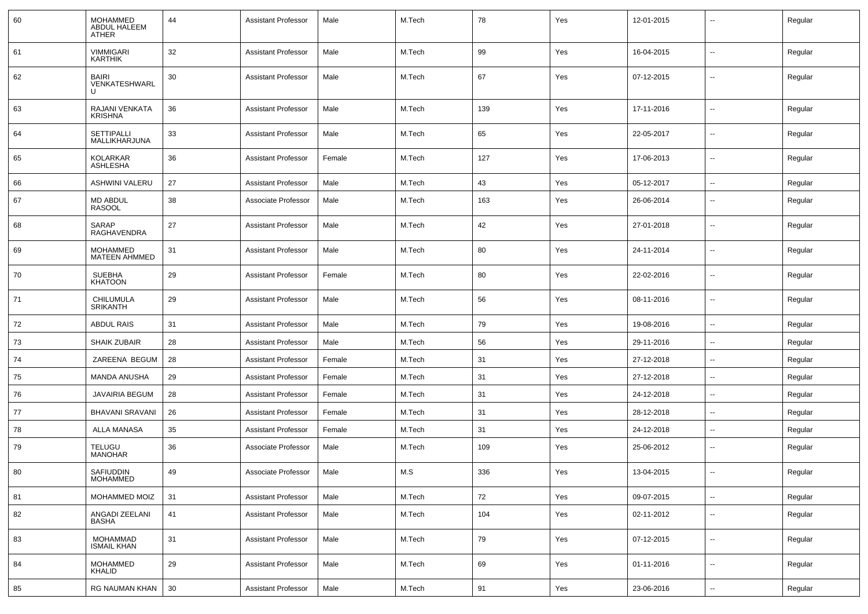| 60 | <b>MOHAMMED</b><br>ABDUL HALEEM<br><b>ATHER</b> | 44 | <b>Assistant Professor</b> | Male   | M.Tech | 78  | Yes | 12-01-2015 | --                       | Regular |
|----|-------------------------------------------------|----|----------------------------|--------|--------|-----|-----|------------|--------------------------|---------|
| 61 | <b>VIMMIGARI</b><br><b>KARTHIK</b>              | 32 | <b>Assistant Professor</b> | Male   | M.Tech | 99  | Yes | 16-04-2015 | $\overline{\phantom{a}}$ | Regular |
| 62 | <b>BAIRI</b><br>VENKATESHWARL                   | 30 | <b>Assistant Professor</b> | Male   | M.Tech | 67  | Yes | 07-12-2015 | $\overline{\phantom{a}}$ | Regular |
| 63 | RAJANI VENKATA<br><b>KRISHNA</b>                | 36 | <b>Assistant Professor</b> | Male   | M.Tech | 139 | Yes | 17-11-2016 | -−                       | Regular |
| 64 | <b>SETTIPALLI</b><br>MALLIKHARJUNA              | 33 | <b>Assistant Professor</b> | Male   | M.Tech | 65  | Yes | 22-05-2017 | --                       | Regular |
| 65 | <b>KOLARKAR</b><br>ASHLESHA                     | 36 | <b>Assistant Professor</b> | Female | M.Tech | 127 | Yes | 17-06-2013 | --                       | Regular |
| 66 | ASHWINI VALERU                                  | 27 | <b>Assistant Professor</b> | Male   | M.Tech | 43  | Yes | 05-12-2017 | --                       | Regular |
| 67 | <b>MD ABDUL</b><br><b>RASOOL</b>                | 38 | Associate Professor        | Male   | M.Tech | 163 | Yes | 26-06-2014 | $\overline{\phantom{a}}$ | Regular |
| 68 | SARAP<br>RAGHAVENDRA                            | 27 | <b>Assistant Professor</b> | Male   | M.Tech | 42  | Yes | 27-01-2018 | $\overline{\phantom{a}}$ | Regular |
| 69 | <b>MOHAMMED</b><br><b>MATEEN AHMMED</b>         | 31 | <b>Assistant Professor</b> | Male   | M.Tech | 80  | Yes | 24-11-2014 | $\overline{\phantom{a}}$ | Regular |
| 70 | <b>SUEBHA</b><br><b>KHATOON</b>                 | 29 | <b>Assistant Professor</b> | Female | M.Tech | 80  | Yes | 22-02-2016 | $\overline{\phantom{a}}$ | Regular |
| 71 | <b>CHILUMULA</b><br><b>SRIKANTH</b>             | 29 | <b>Assistant Professor</b> | Male   | M.Tech | 56  | Yes | 08-11-2016 | $\overline{\phantom{a}}$ | Regular |
| 72 | <b>ABDUL RAIS</b>                               | 31 | <b>Assistant Professor</b> | Male   | M.Tech | 79  | Yes | 19-08-2016 | $\overline{\phantom{a}}$ | Regular |
| 73 | <b>SHAIK ZUBAIR</b>                             | 28 | <b>Assistant Professor</b> | Male   | M.Tech | 56  | Yes | 29-11-2016 | $\overline{\phantom{a}}$ | Regular |
| 74 | ZAREENA BEGUM                                   | 28 | <b>Assistant Professor</b> | Female | M.Tech | 31  | Yes | 27-12-2018 | --                       | Regular |
| 75 | MANDA ANUSHA                                    | 29 | <b>Assistant Professor</b> | Female | M.Tech | 31  | Yes | 27-12-2018 | $\overline{\phantom{a}}$ | Regular |
| 76 | <b>JAVAIRIA BEGUM</b>                           | 28 | <b>Assistant Professor</b> | Female | M.Tech | 31  | Yes | 24-12-2018 | --                       | Regular |
| 77 | <b>BHAVANI SRAVANI</b>                          | 26 | <b>Assistant Professor</b> | Female | M.Tech | 31  | Yes | 28-12-2018 | --                       | Regular |
| 78 | <b>ALLA MANASA</b>                              | 35 | <b>Assistant Professor</b> | Female | M.Tech | 31  | Yes | 24-12-2018 | $\overline{\phantom{a}}$ | Regular |
| 79 | <b>TELUGU</b><br><b>MANOHAR</b>                 | 36 | Associate Professor        | Male   | M.Tech | 109 | Yes | 25-06-2012 | $\overline{\phantom{a}}$ | Regular |
| 80 | <b>SAFIUDDIN</b><br><b>MOHAMMED</b>             | 49 | Associate Professor        | Male   | M.S    | 336 | Yes | 13-04-2015 | --                       | Regular |
| 81 | MOHAMMED MOIZ                                   | 31 | <b>Assistant Professor</b> | Male   | M.Tech | 72  | Yes | 09-07-2015 | $\overline{\phantom{a}}$ | Regular |
| 82 | ANGADI ZEELANI<br><b>BASHA</b>                  | 41 | <b>Assistant Professor</b> | Male   | M.Tech | 104 | Yes | 02-11-2012 | $\sim$                   | Regular |
| 83 | <b>MOHAMMAD</b><br><b>ISMAIL KHAN</b>           | 31 | <b>Assistant Professor</b> | Male   | M.Tech | 79  | Yes | 07-12-2015 | Щ,                       | Regular |
| 84 | <b>MOHAMMED</b><br>KHALID                       | 29 | <b>Assistant Professor</b> | Male   | M.Tech | 69  | Yes | 01-11-2016 | $\overline{\phantom{a}}$ | Regular |
| 85 | RG NAUMAN KHAN                                  | 30 | <b>Assistant Professor</b> | Male   | M.Tech | 91  | Yes | 23-06-2016 | ⊶.                       | Regular |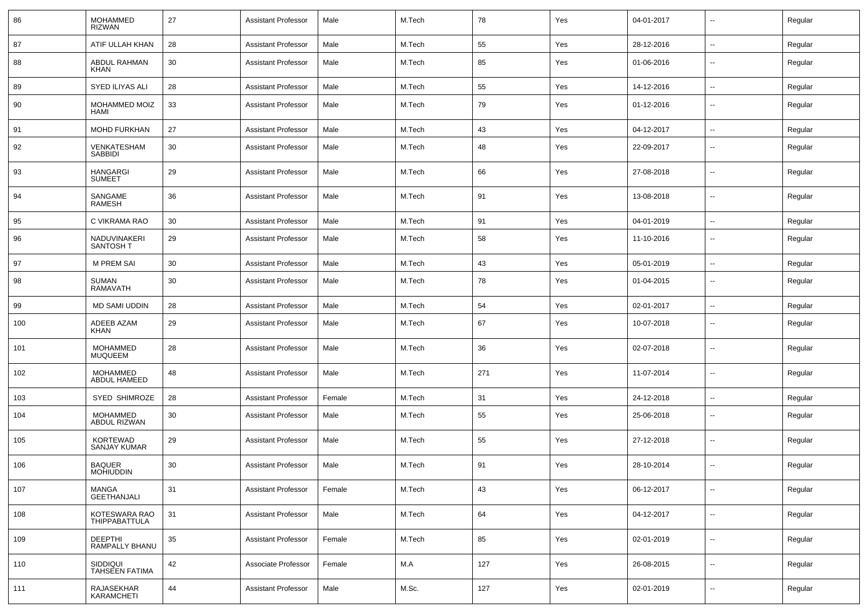| 86  | <b>MOHAMMED</b><br><b>RIZWAN</b>       | 27 | <b>Assistant Professor</b> | Male   | M.Tech | 78  | Yes | 04-01-2017 | $\overline{\phantom{a}}$ | Regular |
|-----|----------------------------------------|----|----------------------------|--------|--------|-----|-----|------------|--------------------------|---------|
| 87  | ATIF ULLAH KHAN                        | 28 | <b>Assistant Professor</b> | Male   | M.Tech | 55  | Yes | 28-12-2016 | $\sim$                   | Regular |
| 88  | ABDUL RAHMAN<br>KHAN                   | 30 | <b>Assistant Professor</b> | Male   | M.Tech | 85  | Yes | 01-06-2016 | $\overline{\phantom{a}}$ | Regular |
| 89  | SYED ILIYAS ALI                        | 28 | <b>Assistant Professor</b> | Male   | M.Tech | 55  | Yes | 14-12-2016 | $\mathbf{u}$             | Regular |
| 90  | MOHAMMED MOIZ<br><b>HAMI</b>           | 33 | <b>Assistant Professor</b> | Male   | M.Tech | 79  | Yes | 01-12-2016 | $\overline{\phantom{a}}$ | Regular |
| 91  | MOHD FURKHAN                           | 27 | <b>Assistant Professor</b> | Male   | M.Tech | 43  | Yes | 04-12-2017 | $\mathbf{u}$             | Regular |
| 92  | VENKATESHAM<br><b>SABBIDI</b>          | 30 | <b>Assistant Professor</b> | Male   | M.Tech | 48  | Yes | 22-09-2017 | $\overline{\phantom{a}}$ | Regular |
| 93  | <b>HANGARGI</b><br><b>SUMEET</b>       | 29 | <b>Assistant Professor</b> | Male   | M.Tech | 66  | Yes | 27-08-2018 | $\overline{\phantom{a}}$ | Regular |
| 94  | SANGAME<br><b>RAMESH</b>               | 36 | <b>Assistant Professor</b> | Male   | M.Tech | 91  | Yes | 13-08-2018 | $\overline{\phantom{a}}$ | Regular |
| 95  | C VIKRAMA RAO                          | 30 | <b>Assistant Professor</b> | Male   | M.Tech | 91  | Yes | 04-01-2019 | $\overline{\phantom{a}}$ | Regular |
| 96  | NADUVINAKERI<br>SANTOSH T              | 29 | <b>Assistant Professor</b> | Male   | M.Tech | 58  | Yes | 11-10-2016 | $\overline{\phantom{a}}$ | Regular |
| 97  | <b>M PREM SAI</b>                      | 30 | <b>Assistant Professor</b> | Male   | M.Tech | 43  | Yes | 05-01-2019 | --                       | Regular |
| 98  | <b>SUMAN</b><br><b>RAMAVATH</b>        | 30 | <b>Assistant Professor</b> | Male   | M.Tech | 78  | Yes | 01-04-2015 | $\mathbf{u}$             | Regular |
| 99  | MD SAMI UDDIN                          | 28 | <b>Assistant Professor</b> | Male   | M.Tech | 54  | Yes | 02-01-2017 | $\mathbf{u}$             | Regular |
| 100 | ADEEB AZAM<br>KHAN                     | 29 | <b>Assistant Professor</b> | Male   | M.Tech | 67  | Yes | 10-07-2018 | $\sim$                   | Regular |
| 101 | <b>MOHAMMED</b><br><b>MUQUEEM</b>      | 28 | <b>Assistant Professor</b> | Male   | M.Tech | 36  | Yes | 02-07-2018 | $\overline{\phantom{a}}$ | Regular |
| 102 | MOHAMMED<br>ABDUL HAMEED               | 48 | <b>Assistant Professor</b> | Male   | M.Tech | 271 | Yes | 11-07-2014 | $\sim$                   | Regular |
| 103 | <b>SYED SHIMROZE</b>                   | 28 | <b>Assistant Professor</b> | Female | M.Tech | 31  | Yes | 24-12-2018 | $\sim$                   | Regular |
| 104 | MOHAMMED<br>ABDUL RIZWAN               | 30 | <b>Assistant Professor</b> | Male   | M.Tech | 55  | Yes | 25-06-2018 | $\overline{\phantom{a}}$ | Regular |
| 105 | <b>KORTEWAD</b><br><b>SANJAY KUMAR</b> | 29 | <b>Assistant Professor</b> | Male   | M.Tech | 55  | Yes | 27-12-2018 | $\overline{\phantom{a}}$ | Regular |
| 106 | <b>BAQUER</b><br><b>MOHIUDDIN</b>      | 30 | <b>Assistant Professor</b> | Male   | M.Tech | 91  | Yes | 28-10-2014 |                          | Regular |
| 107 | <b>MANGA</b><br><b>GEETHANJALI</b>     | 31 | <b>Assistant Professor</b> | Female | M.Tech | 43  | Yes | 06-12-2017 | $\overline{\phantom{a}}$ | Regular |
| 108 | KOTESWARA RAO<br>THIPPABATTULA         | 31 | <b>Assistant Professor</b> | Male   | M.Tech | 64  | Yes | 04-12-2017 | $\mathbf{u}$             | Regular |
| 109 | <b>DEEPTHI</b><br>RAMPALLY BHANU       | 35 | <b>Assistant Professor</b> | Female | M.Tech | 85  | Yes | 02-01-2019 | $\overline{\phantom{a}}$ | Regular |
| 110 | SIDDIQUI<br><b>TAHSEEN FATIMA</b>      | 42 | Associate Professor        | Female | M.A    | 127 | Yes | 26-08-2015 | --                       | Regular |
| 111 | RAJASEKHAR<br>KARAMCHETI               | 44 | <b>Assistant Professor</b> | Male   | M.Sc.  | 127 | Yes | 02-01-2019 | $\overline{\phantom{a}}$ | Regular |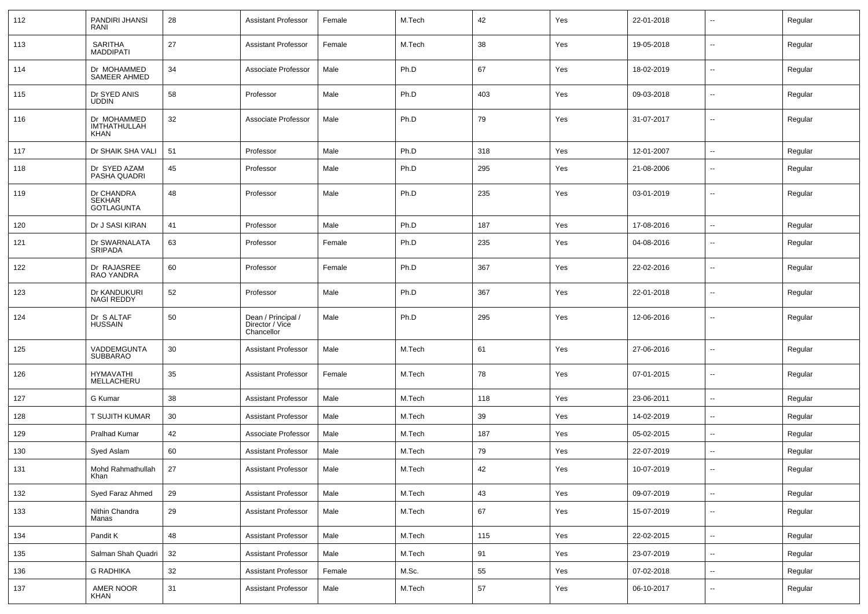| 112 | PANDIRI JHANSI<br>RANI                     | 28 | <b>Assistant Professor</b>                          | Female | M.Tech | 42  | Yes | 22-01-2018 | $\overline{\phantom{a}}$ | Regular |
|-----|--------------------------------------------|----|-----------------------------------------------------|--------|--------|-----|-----|------------|--------------------------|---------|
| 113 | SARITHA<br><b>MADDIPATI</b>                | 27 | <b>Assistant Professor</b>                          | Female | M.Tech | 38  | Yes | 19-05-2018 | $\sim$                   | Regular |
| 114 | Dr MOHAMMED<br>SAMEER AHMED                | 34 | Associate Professor                                 | Male   | Ph.D   | 67  | Yes | 18-02-2019 | $\overline{\phantom{a}}$ | Regular |
| 115 | Dr SYED ANIS<br><b>UDDIN</b>               | 58 | Professor                                           | Male   | Ph.D   | 403 | Yes | 09-03-2018 | $\sim$                   | Regular |
| 116 | Dr MOHAMMED<br>IMTHATHULLAH<br><b>KHAN</b> | 32 | Associate Professor                                 | Male   | Ph.D   | 79  | Yes | 31-07-2017 | $\sim$                   | Regular |
| 117 | Dr SHAIK SHA VALI                          | 51 | Professor                                           | Male   | Ph.D   | 318 | Yes | 12-01-2007 | $\overline{\phantom{a}}$ | Regular |
| 118 | Dr SYED AZAM<br>PASHA QUADRI               | 45 | Professor                                           | Male   | Ph.D   | 295 | Yes | 21-08-2006 | $\overline{\phantom{a}}$ | Regular |
| 119 | Dr CHANDRA<br>SEKHAR<br><b>GOTLAGUNTA</b>  | 48 | Professor                                           | Male   | Ph.D   | 235 | Yes | 03-01-2019 | $\sim$                   | Regular |
| 120 | Dr J SASI KIRAN                            | 41 | Professor                                           | Male   | Ph.D   | 187 | Yes | 17-08-2016 | $\sim$                   | Regular |
| 121 | Dr SWARNALATA<br><b>SRIPADA</b>            | 63 | Professor                                           | Female | Ph.D   | 235 | Yes | 04-08-2016 | $\sim$                   | Regular |
| 122 | Dr RAJASREE<br>RAO YANDRA                  | 60 | Professor                                           | Female | Ph.D   | 367 | Yes | 22-02-2016 | $\sim$                   | Regular |
| 123 | Dr KANDUKURI<br><b>NAGI REDDY</b>          | 52 | Professor                                           | Male   | Ph.D   | 367 | Yes | 22-01-2018 | $\sim$                   | Regular |
| 124 | Dr S ALTAF<br><b>HUSSAIN</b>               | 50 | Dean / Principal /<br>Director / Vice<br>Chancellor | Male   | Ph.D   | 295 | Yes | 12-06-2016 | $\sim$                   | Regular |
| 125 | VADDEMGUNTA<br><b>SUBBARAO</b>             | 30 | <b>Assistant Professor</b>                          | Male   | M.Tech | 61  | Yes | 27-06-2016 | $\sim$                   | Regular |
| 126 | <b>HYMAVATHI</b><br>MELLACHERU             | 35 | <b>Assistant Professor</b>                          | Female | M.Tech | 78  | Yes | 07-01-2015 | $\sim$                   | Regular |
| 127 | G Kumar                                    | 38 | <b>Assistant Professor</b>                          | Male   | M.Tech | 118 | Yes | 23-06-2011 | $\overline{\phantom{a}}$ | Regular |
| 128 | T SUJITH KUMAR                             | 30 | <b>Assistant Professor</b>                          | Male   | M.Tech | 39  | Yes | 14-02-2019 | $\sim$                   | Regular |
| 129 | <b>Pralhad Kumar</b>                       | 42 | Associate Professor                                 | Male   | M.Tech | 187 | Yes | 05-02-2015 | $\sim$                   | Regular |
| 130 | Syed Aslam                                 | 60 | <b>Assistant Professor</b>                          | Male   | M.Tech | 79  | Yes | 22-07-2019 | $\overline{\phantom{a}}$ | Regular |
| 131 | Mohd Rahmathullah<br>Khan                  | 27 | <b>Assistant Professor</b>                          | Male   | M.Tech | 42  | Yes | 10-07-2019 | $\sim$                   | Regular |
| 132 | Syed Faraz Ahmed                           | 29 | <b>Assistant Professor</b>                          | Male   | M.Tech | 43  | Yes | 09-07-2019 | $\overline{\phantom{a}}$ | Regular |
| 133 | Nithin Chandra<br>Manas                    | 29 | Assistant Professor                                 | Male   | M.Tech | 67  | Yes | 15-07-2019 | $\overline{\phantom{a}}$ | Regular |
| 134 | Pandit K                                   | 48 | <b>Assistant Professor</b>                          | Male   | M.Tech | 115 | Yes | 22-02-2015 | $\overline{\phantom{a}}$ | Regular |
| 135 | Salman Shah Quadri                         | 32 | <b>Assistant Professor</b>                          | Male   | M.Tech | 91  | Yes | 23-07-2019 | $\overline{\phantom{a}}$ | Regular |
| 136 | <b>G RADHIKA</b>                           | 32 | <b>Assistant Professor</b>                          | Female | M.Sc.  | 55  | Yes | 07-02-2018 | $\sim$                   | Regular |
| 137 | AMER NOOR<br>KHAN                          | 31 | Assistant Professor                                 | Male   | M.Tech | 57  | Yes | 06-10-2017 | $\sim$                   | Regular |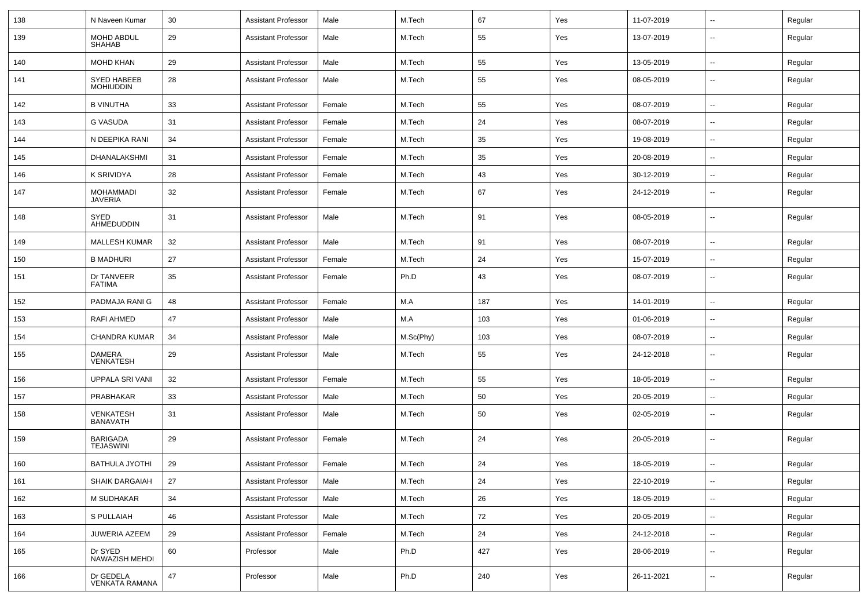| 138 | N Naveen Kumar                      | 30 | <b>Assistant Professor</b> | Male   | M.Tech    | 67  | Yes | 11-07-2019 | $\overline{\phantom{a}}$ | Regular |
|-----|-------------------------------------|----|----------------------------|--------|-----------|-----|-----|------------|--------------------------|---------|
| 139 | MOHD ABDUL<br>SHAHAB                | 29 | <b>Assistant Professor</b> | Male   | M.Tech    | 55  | Yes | 13-07-2019 | --                       | Regular |
| 140 | <b>MOHD KHAN</b>                    | 29 | <b>Assistant Professor</b> | Male   | M.Tech    | 55  | Yes | 13-05-2019 | $\overline{\phantom{a}}$ | Regular |
| 141 | SYED HABEEB<br><b>MOHIUDDIN</b>     | 28 | <b>Assistant Professor</b> | Male   | M.Tech    | 55  | Yes | 08-05-2019 | --                       | Regular |
| 142 | <b>B VINUTHA</b>                    | 33 | <b>Assistant Professor</b> | Female | M.Tech    | 55  | Yes | 08-07-2019 | $\overline{\phantom{a}}$ | Regular |
| 143 | <b>G VASUDA</b>                     | 31 | <b>Assistant Professor</b> | Female | M.Tech    | 24  | Yes | 08-07-2019 | --                       | Regular |
| 144 | N DEEPIKA RANI                      | 34 | <b>Assistant Professor</b> | Female | M.Tech    | 35  | Yes | 19-08-2019 | --                       | Regular |
| 145 | DHANALAKSHMI                        | 31 | <b>Assistant Professor</b> | Female | M.Tech    | 35  | Yes | 20-08-2019 | $\overline{\phantom{a}}$ | Regular |
| 146 | K SRIVIDYA                          | 28 | <b>Assistant Professor</b> | Female | M.Tech    | 43  | Yes | 30-12-2019 | --                       | Regular |
| 147 | <b>MOHAMMADI</b><br>JAVERIA         | 32 | <b>Assistant Professor</b> | Female | M.Tech    | 67  | Yes | 24-12-2019 | --                       | Regular |
| 148 | SYED<br>AHMEDUDDIN                  | 31 | <b>Assistant Professor</b> | Male   | M.Tech    | 91  | Yes | 08-05-2019 | --                       | Regular |
| 149 | <b>MALLESH KUMAR</b>                | 32 | <b>Assistant Professor</b> | Male   | M.Tech    | 91  | Yes | 08-07-2019 | --                       | Regular |
| 150 | <b>B MADHURI</b>                    | 27 | <b>Assistant Professor</b> | Female | M.Tech    | 24  | Yes | 15-07-2019 | -−                       | Regular |
| 151 | Dr TANVEER<br><b>FATIMA</b>         | 35 | <b>Assistant Professor</b> | Female | Ph.D      | 43  | Yes | 08-07-2019 | --                       | Regular |
| 152 | PADMAJA RANI G                      | 48 | <b>Assistant Professor</b> | Female | M.A       | 187 | Yes | 14-01-2019 | --                       | Regular |
| 153 | RAFI AHMED                          | 47 | <b>Assistant Professor</b> | Male   | M.A       | 103 | Yes | 01-06-2019 | --                       | Regular |
| 154 | <b>CHANDRA KUMAR</b>                | 34 | <b>Assistant Professor</b> | Male   | M.Sc(Phy) | 103 | Yes | 08-07-2019 | $\overline{\phantom{a}}$ | Regular |
| 155 | <b>DAMERA</b><br>VENKATESH          | 29 | <b>Assistant Professor</b> | Male   | M.Tech    | 55  | Yes | 24-12-2018 | $\overline{\phantom{a}}$ | Regular |
| 156 | UPPALA SRI VANI                     | 32 | <b>Assistant Professor</b> | Female | M.Tech    | 55  | Yes | 18-05-2019 | $\overline{\phantom{a}}$ | Regular |
| 157 | PRABHAKAR                           | 33 | <b>Assistant Professor</b> | Male   | M.Tech    | 50  | Yes | 20-05-2019 | --                       | Regular |
| 158 | <b>VENKATESH</b><br><b>BANAVATH</b> | 31 | <b>Assistant Professor</b> | Male   | M.Tech    | 50  | Yes | 02-05-2019 | $\overline{\phantom{a}}$ | Regular |
| 159 | <b>BARIGADA</b><br><b>TEJASWINI</b> | 29 | <b>Assistant Professor</b> | Female | M.Tech    | 24  | Yes | 20-05-2019 | --                       | Regular |
| 160 | <b>BATHULA JYOTHI</b>               | 29 | <b>Assistant Professor</b> | Female | M.Tech    | 24  | Yes | 18-05-2019 |                          | Regular |
| 161 | SHAIK DARGAIAH                      | 27 | <b>Assistant Professor</b> | Male   | M.Tech    | 24  | Yes | 22-10-2019 | Щ,                       | Regular |
| 162 | M SUDHAKAR                          | 34 | <b>Assistant Professor</b> | Male   | M.Tech    | 26  | Yes | 18-05-2019 | Ξ.                       | Regular |
| 163 | S PULLAIAH                          | 46 | <b>Assistant Professor</b> | Male   | M.Tech    | 72  | Yes | 20-05-2019 | $\overline{\phantom{a}}$ | Regular |
| 164 | JUWERIA AZEEM                       | 29 | <b>Assistant Professor</b> | Female | M.Tech    | 24  | Yes | 24-12-2018 | $\overline{\phantom{a}}$ | Regular |
| 165 | Dr SYED<br>NAWAZISH MEHDI           | 60 | Professor                  | Male   | Ph.D      | 427 | Yes | 28-06-2019 | $\overline{\phantom{a}}$ | Regular |
| 166 | Dr GEDELA<br><b>VENKATA RAMANA</b>  | 47 | Professor                  | Male   | Ph.D      | 240 | Yes | 26-11-2021 | $\overline{\phantom{a}}$ | Regular |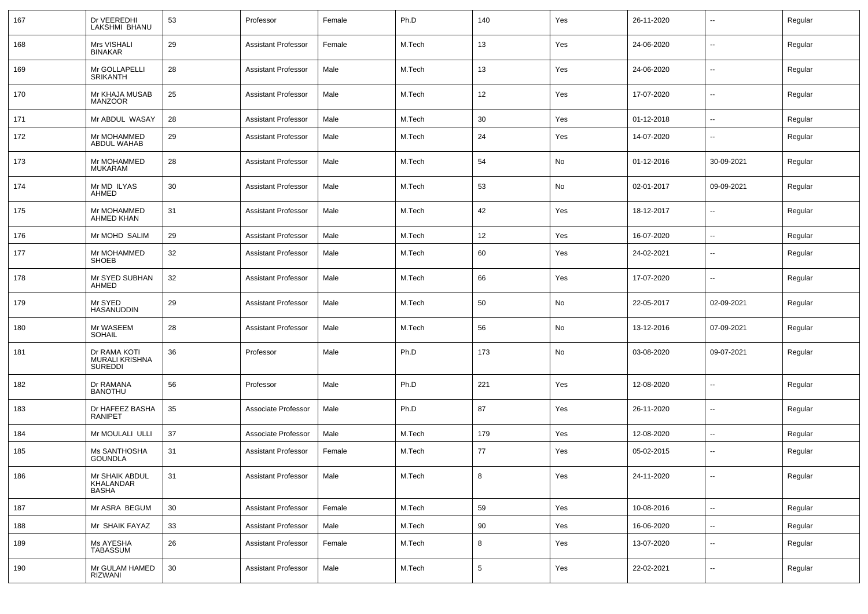| 167 | Dr VEEREDHI<br>LAKSHMI BHANU                     | 53     | Professor                  | Female | Ph.D   | 140             | Yes | 26-11-2020 | $\overline{\phantom{a}}$ | Regular |
|-----|--------------------------------------------------|--------|----------------------------|--------|--------|-----------------|-----|------------|--------------------------|---------|
| 168 | Mrs VISHALI<br><b>BINAKAR</b>                    | 29     | <b>Assistant Professor</b> | Female | M.Tech | 13              | Yes | 24-06-2020 | $\sim$                   | Regular |
| 169 | Mr GOLLAPELLI<br><b>SRIKANTH</b>                 | 28     | <b>Assistant Professor</b> | Male   | M.Tech | 13              | Yes | 24-06-2020 | $\sim$                   | Regular |
| 170 | Mr KHAJA MUSAB<br><b>MANZOOR</b>                 | 25     | <b>Assistant Professor</b> | Male   | M.Tech | 12              | Yes | 17-07-2020 | $\sim$                   | Regular |
| 171 | Mr ABDUL WASAY                                   | 28     | <b>Assistant Professor</b> | Male   | M.Tech | 30              | Yes | 01-12-2018 | $\sim$                   | Regular |
| 172 | Mr MOHAMMED<br>ABDUL WAHAB                       | 29     | <b>Assistant Professor</b> | Male   | M.Tech | 24              | Yes | 14-07-2020 | $\overline{a}$           | Regular |
| 173 | Mr MOHAMMED<br><b>MUKARAM</b>                    | 28     | Assistant Professor        | Male   | M.Tech | 54              | No  | 01-12-2016 | 30-09-2021               | Regular |
| 174 | Mr MD ILYAS<br>AHMED                             | 30     | Assistant Professor        | Male   | M.Tech | 53              | No  | 02-01-2017 | 09-09-2021               | Regular |
| 175 | Mr MOHAMMED<br>AHMED KHAN                        | 31     | <b>Assistant Professor</b> | Male   | M.Tech | 42              | Yes | 18-12-2017 | $\overline{\phantom{a}}$ | Regular |
| 176 | Mr MOHD SALIM                                    | 29     | Assistant Professor        | Male   | M.Tech | 12              | Yes | 16-07-2020 | $\overline{\phantom{a}}$ | Regular |
| 177 | Mr MOHAMMED<br><b>SHOEB</b>                      | 32     | <b>Assistant Professor</b> | Male   | M.Tech | 60              | Yes | 24-02-2021 | $\overline{\phantom{a}}$ | Regular |
| 178 | Mr SYED SUBHAN<br>AHMED                          | 32     | <b>Assistant Professor</b> | Male   | M.Tech | 66              | Yes | 17-07-2020 | $\overline{\phantom{a}}$ | Regular |
| 179 | Mr SYED<br>HASANUDDIN                            | 29     | <b>Assistant Professor</b> | Male   | M.Tech | 50              | No  | 22-05-2017 | 02-09-2021               | Regular |
| 180 | Mr WASEEM<br><b>SOHAIL</b>                       | 28     | <b>Assistant Professor</b> | Male   | M.Tech | 56              | No  | 13-12-2016 | 07-09-2021               | Regular |
| 181 | Dr RAMA KOTI<br>MURALI KRISHNA<br><b>SUREDDI</b> | 36     | Professor                  | Male   | Ph.D   | 173             | No  | 03-08-2020 | 09-07-2021               | Regular |
| 182 | Dr RAMANA<br><b>BANOTHU</b>                      | 56     | Professor                  | Male   | Ph.D   | 221             | Yes | 12-08-2020 | --                       | Regular |
| 183 | Dr HAFEEZ BASHA<br><b>RANIPET</b>                | 35     | Associate Professor        | Male   | Ph.D   | 87              | Yes | 26-11-2020 | --                       | Regular |
| 184 | Mr MOULALI ULLI                                  | 37     | Associate Professor        | Male   | M.Tech | 179             | Yes | 12-08-2020 | $\mathbf{u}$             | Regular |
| 185 | Ms SANTHOSHA<br><b>GOUNDLA</b>                   | 31     | <b>Assistant Professor</b> | Female | M.Tech | 77              | Yes | 05-02-2015 | $\overline{\phantom{a}}$ | Regular |
| 186 | Mr SHAIK ABDUL<br>KHALANDAR<br><b>BASHA</b>      | 31     | Assistant Professor        | Male   | M.Tech | 8               | Yes | 24-11-2020 | --                       | Regular |
| 187 | Mr ASRA BEGUM                                    | 30     | <b>Assistant Professor</b> | Female | M.Tech | 59              | Yes | 10-08-2016 | $\sim$                   | Regular |
| 188 | Mr SHAIK FAYAZ                                   | 33     | <b>Assistant Professor</b> | Male   | M.Tech | 90              | Yes | 16-06-2020 | $\mathbf{u}$             | Regular |
| 189 | Ms AYESHA<br>TABASSUM                            | 26     | <b>Assistant Professor</b> | Female | M.Tech | 8               | Yes | 13-07-2020 | $\sim$                   | Regular |
| 190 | Mr GULAM HAMED<br>RIZWANI                        | $30\,$ | <b>Assistant Professor</b> | Male   | M.Tech | $5\phantom{.0}$ | Yes | 22-02-2021 | $\sim$                   | Regular |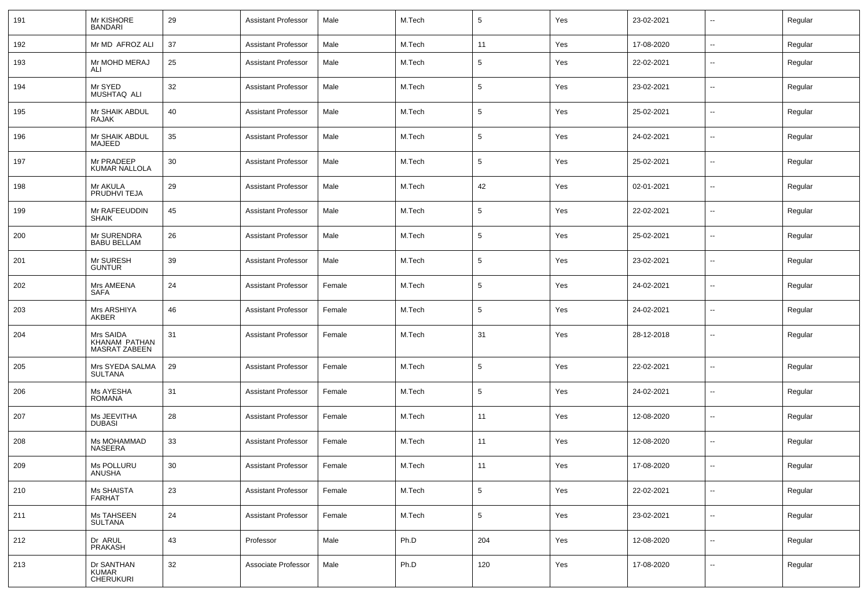| 191 | Mr KISHORE<br><b>BANDARI</b>                   | 29 | <b>Assistant Professor</b> | Male   | M.Tech | $5\phantom{.0}$ | Yes | 23-02-2021 | $\overline{\phantom{a}}$ | Regular |
|-----|------------------------------------------------|----|----------------------------|--------|--------|-----------------|-----|------------|--------------------------|---------|
| 192 | Mr MD AFROZ ALI                                | 37 | <b>Assistant Professor</b> | Male   | M.Tech | 11              | Yes | 17-08-2020 | н.                       | Regular |
| 193 | Mr MOHD MERAJ<br>ALI                           | 25 | <b>Assistant Professor</b> | Male   | M.Tech | $5\phantom{.0}$ | Yes | 22-02-2021 | --                       | Regular |
| 194 | Mr SYED<br>MUSHTAQ ALI                         | 32 | Assistant Professor        | Male   | M.Tech | $5\phantom{.0}$ | Yes | 23-02-2021 | $\overline{\phantom{a}}$ | Regular |
| 195 | Mr SHAIK ABDUL<br>RAJAK                        | 40 | <b>Assistant Professor</b> | Male   | M.Tech | $5\phantom{.0}$ | Yes | 25-02-2021 | $\overline{\phantom{a}}$ | Regular |
| 196 | Mr SHAIK ABDUL<br>MAJEED                       | 35 | Assistant Professor        | Male   | M.Tech | $5\phantom{.0}$ | Yes | 24-02-2021 | $\overline{a}$           | Regular |
| 197 | Mr PRADEEP<br><b>KUMAR NALLOLA</b>             | 30 | <b>Assistant Professor</b> | Male   | M.Tech | $5\phantom{.0}$ | Yes | 25-02-2021 | $\overline{a}$           | Regular |
| 198 | Mr AKULA<br>PRUDHVI TEJA                       | 29 | <b>Assistant Professor</b> | Male   | M.Tech | 42              | Yes | 02-01-2021 | $\overline{a}$           | Regular |
| 199 | Mr RAFEEUDDIN<br><b>SHAIK</b>                  | 45 | Assistant Professor        | Male   | M.Tech | 5               | Yes | 22-02-2021 | $\overline{a}$           | Regular |
| 200 | Mr SURENDRA<br><b>BABU BELLAM</b>              | 26 | <b>Assistant Professor</b> | Male   | M.Tech | $5\phantom{.0}$ | Yes | 25-02-2021 | $\overline{a}$           | Regular |
| 201 | Mr SURESH<br><b>GUNTUR</b>                     | 39 | Assistant Professor        | Male   | M.Tech | $5\phantom{.0}$ | Yes | 23-02-2021 | --                       | Regular |
| 202 | Mrs AMEENA<br><b>SAFA</b>                      | 24 | Assistant Professor        | Female | M.Tech | 5               | Yes | 24-02-2021 | Ξ.                       | Regular |
| 203 | Mrs ARSHIYA<br>AKBER                           | 46 | Assistant Professor        | Female | M.Tech | $5\phantom{.0}$ | Yes | 24-02-2021 | $\overline{a}$           | Regular |
| 204 | Mrs SAIDA<br>KHANAM PATHAN<br>MASRAT ZABEEN    | 31 | Assistant Professor        | Female | M.Tech | 31              | Yes | 28-12-2018 | --                       | Regular |
| 205 | Mrs SYEDA SALMA<br><b>SULTANA</b>              | 29 | Assistant Professor        | Female | M.Tech | $5\phantom{.0}$ | Yes | 22-02-2021 | $\overline{a}$           | Regular |
| 206 | Ms AYESHA<br><b>ROMANA</b>                     | 31 | Assistant Professor        | Female | M.Tech | $5\phantom{.0}$ | Yes | 24-02-2021 | ⊷.                       | Regular |
| 207 | Ms JEEVITHA<br><b>DUBASI</b>                   | 28 | Assistant Professor        | Female | M.Tech | 11              | Yes | 12-08-2020 | --                       | Regular |
| 208 | Ms MOHAMMAD<br><b>NASEERA</b>                  | 33 | <b>Assistant Professor</b> | Female | M.Tech | 11              | Yes | 12-08-2020 | ⊷.                       | Regular |
| 209 | Ms POLLURU<br>ANUSHA                           | 30 | <b>Assistant Professor</b> | Female | M.Tech | 11              | Yes | 17-08-2020 | $\overline{a}$           | Regular |
| 210 | Ms SHAISTA<br><b>FARHAT</b>                    | 23 | <b>Assistant Professor</b> | Female | M.Tech | $\sqrt{5}$      | Yes | 22-02-2021 | щ.                       | Regular |
| 211 | Ms TAHSEEN<br><b>SULTANA</b>                   | 24 | <b>Assistant Professor</b> | Female | M.Tech | $\sqrt{5}$      | Yes | 23-02-2021 | щ.                       | Regular |
| 212 | Dr ARUL<br>PRAKASH                             | 43 | Professor                  | Male   | Ph.D   | 204             | Yes | 12-08-2020 | щ.                       | Regular |
| 213 | Dr SANTHAN<br><b>KUMAR</b><br><b>CHERUKURI</b> | 32 | Associate Professor        | Male   | Ph.D   | 120             | Yes | 17-08-2020 | н.                       | Regular |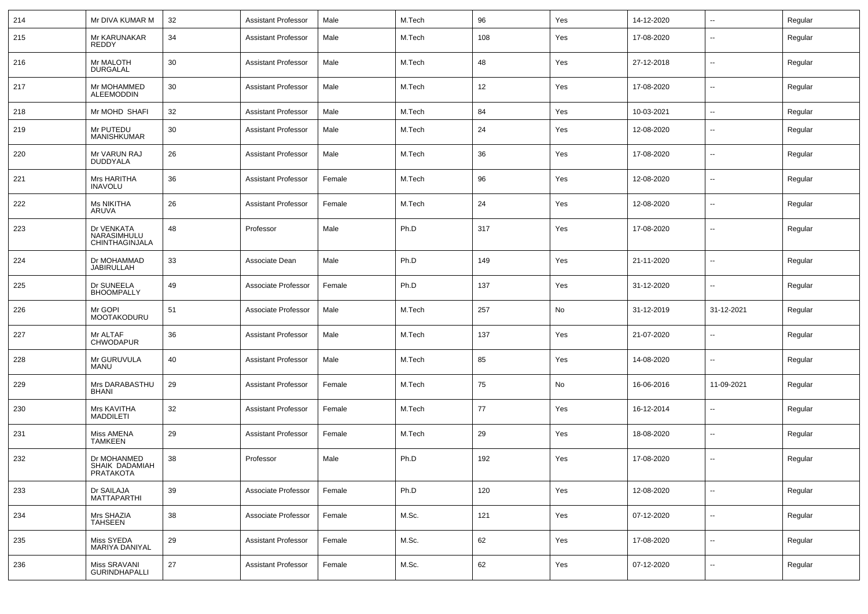| 214 | Mr DIVA KUMAR M                             | 32 | <b>Assistant Professor</b> | Male   | M.Tech | 96  | Yes | 14-12-2020 | $\overline{\phantom{a}}$ | Regular |
|-----|---------------------------------------------|----|----------------------------|--------|--------|-----|-----|------------|--------------------------|---------|
| 215 | Mr KARUNAKAR<br>REDDY                       | 34 | <b>Assistant Professor</b> | Male   | M.Tech | 108 | Yes | 17-08-2020 | $\overline{\phantom{a}}$ | Regular |
| 216 | Mr MALOTH<br><b>DURGALAL</b>                | 30 | <b>Assistant Professor</b> | Male   | M.Tech | 48  | Yes | 27-12-2018 | $\overline{\phantom{a}}$ | Regular |
| 217 | Mr MOHAMMED<br>ALEEMODDIN                   | 30 | <b>Assistant Professor</b> | Male   | M.Tech | 12  | Yes | 17-08-2020 | $\overline{\phantom{a}}$ | Regular |
| 218 | Mr MOHD SHAFI                               | 32 | <b>Assistant Professor</b> | Male   | M.Tech | 84  | Yes | 10-03-2021 | $\overline{\phantom{a}}$ | Regular |
| 219 | Mr PUTEDU<br><b>MANISHKUMAR</b>             | 30 | <b>Assistant Professor</b> | Male   | M.Tech | 24  | Yes | 12-08-2020 | --                       | Regular |
| 220 | Mr VARUN RAJ<br>DUDDYALA                    | 26 | <b>Assistant Professor</b> | Male   | M.Tech | 36  | Yes | 17-08-2020 | $\overline{\phantom{a}}$ | Regular |
| 221 | Mrs HARITHA<br><b>INAVOLU</b>               | 36 | <b>Assistant Professor</b> | Female | M.Tech | 96  | Yes | 12-08-2020 | $\overline{\phantom{a}}$ | Regular |
| 222 | <b>Ms NIKITHA</b><br>ARUVA                  | 26 | <b>Assistant Professor</b> | Female | M.Tech | 24  | Yes | 12-08-2020 | --                       | Regular |
| 223 | Dr VENKATA<br>NARASIMHULU<br>CHINTHAGINJALA | 48 | Professor                  | Male   | Ph.D   | 317 | Yes | 17-08-2020 | --                       | Regular |
| 224 | Dr MOHAMMAD<br><b>JABIRULLAH</b>            | 33 | Associate Dean             | Male   | Ph.D   | 149 | Yes | 21-11-2020 | $\overline{\phantom{a}}$ | Regular |
| 225 | Dr SUNEELA<br><b>BHOOMPALLY</b>             | 49 | Associate Professor        | Female | Ph.D   | 137 | Yes | 31-12-2020 | $\overline{\phantom{a}}$ | Regular |
| 226 | Mr GOPI<br>MOOTAKODURU                      | 51 | Associate Professor        | Male   | M.Tech | 257 | No  | 31-12-2019 | 31-12-2021               | Regular |
| 227 | Mr ALTAF<br><b>CHWODAPUR</b>                | 36 | <b>Assistant Professor</b> | Male   | M.Tech | 137 | Yes | 21-07-2020 | $\overline{\phantom{a}}$ | Regular |
| 228 | Mr GURUVULA<br>MANU                         | 40 | <b>Assistant Professor</b> | Male   | M.Tech | 85  | Yes | 14-08-2020 | --                       | Regular |
| 229 | Mrs DARABASTHU<br><b>BHANI</b>              | 29 | <b>Assistant Professor</b> | Female | M.Tech | 75  | No  | 16-06-2016 | 11-09-2021               | Regular |
| 230 | Mrs KAVITHA<br><b>MADDILETI</b>             | 32 | <b>Assistant Professor</b> | Female | M.Tech | 77  | Yes | 16-12-2014 | $\overline{\phantom{a}}$ | Regular |
| 231 | Miss AMENA<br><b>TAMKEEN</b>                | 29 | <b>Assistant Professor</b> | Female | M.Tech | 29  | Yes | 18-08-2020 | $\overline{\phantom{a}}$ | Regular |
| 232 | Dr MOHANMED<br>SHAIK DADAMIAH<br>PRATAKOTA  | 38 | Professor                  | Male   | Ph.D   | 192 | Yes | 17-08-2020 | $\overline{\phantom{a}}$ | Regular |
| 233 | Dr SAILAJA<br><b>MATTAPARTHI</b>            | 39 | Associate Professor        | Female | Ph.D   | 120 | Yes | 12-08-2020 | Щ,                       | Regular |
| 234 | Mrs SHAZIA<br><b>TAHSEEN</b>                | 38 | Associate Professor        | Female | M.Sc.  | 121 | Yes | 07-12-2020 | Щ,                       | Regular |
| 235 | Miss SYEDA<br>MARIYA DANIYAL                | 29 | <b>Assistant Professor</b> | Female | M.Sc.  | 62  | Yes | 17-08-2020 | $\overline{\phantom{a}}$ | Regular |
| 236 | Miss SRAVANI<br><b>GURINDHAPALLI</b>        | 27 | <b>Assistant Professor</b> | Female | M.Sc.  | 62  | Yes | 07-12-2020 | н.                       | Regular |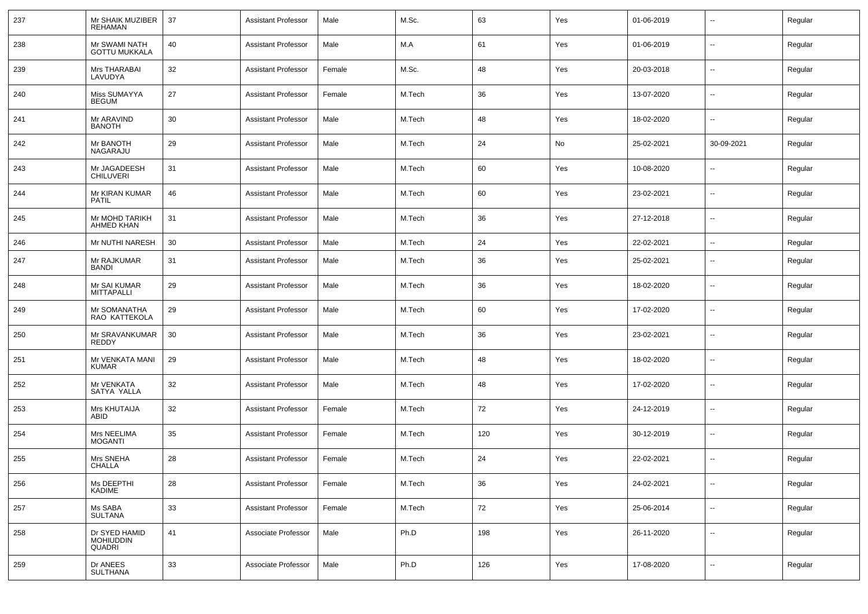| 237 | Mr SHAIK MUZIBER<br><b>REHAMAN</b>          | 37 | <b>Assistant Professor</b> | Male   | M.Sc.  | 63  | Yes | 01-06-2019 | --                       | Regular |
|-----|---------------------------------------------|----|----------------------------|--------|--------|-----|-----|------------|--------------------------|---------|
| 238 | Mr SWAMI NATH<br><b>GOTTU MUKKALA</b>       | 40 | <b>Assistant Professor</b> | Male   | M.A    | 61  | Yes | 01-06-2019 | $\sim$                   | Regular |
| 239 | Mrs THARABAI<br>LAVUDYA                     | 32 | <b>Assistant Professor</b> | Female | M.Sc.  | 48  | Yes | 20-03-2018 | $\overline{\phantom{a}}$ | Regular |
| 240 | Miss SUMAYYA<br><b>BEGUM</b>                | 27 | <b>Assistant Professor</b> | Female | M.Tech | 36  | Yes | 13-07-2020 | $\sim$                   | Regular |
| 241 | Mr ARAVIND<br><b>BANOTH</b>                 | 30 | <b>Assistant Professor</b> | Male   | M.Tech | 48  | Yes | 18-02-2020 | $\sim$                   | Regular |
| 242 | Mr BANOTH<br>NAGARAJU                       | 29 | <b>Assistant Professor</b> | Male   | M.Tech | 24  | No  | 25-02-2021 | 30-09-2021               | Regular |
| 243 | Mr JAGADEESH<br><b>CHILUVERI</b>            | 31 | <b>Assistant Professor</b> | Male   | M.Tech | 60  | Yes | 10-08-2020 | $\overline{\phantom{a}}$ | Regular |
| 244 | Mr KIRAN KUMAR<br><b>PATIL</b>              | 46 | <b>Assistant Professor</b> | Male   | M.Tech | 60  | Yes | 23-02-2021 | $\sim$                   | Regular |
| 245 | Mr MOHD TARIKH<br><b>AHMED KHAN</b>         | 31 | <b>Assistant Professor</b> | Male   | M.Tech | 36  | Yes | 27-12-2018 | $\overline{\phantom{a}}$ | Regular |
| 246 | Mr NUTHI NARESH                             | 30 | <b>Assistant Professor</b> | Male   | M.Tech | 24  | Yes | 22-02-2021 | $\sim$                   | Regular |
| 247 | Mr RAJKUMAR<br><b>BANDI</b>                 | 31 | <b>Assistant Professor</b> | Male   | M.Tech | 36  | Yes | 25-02-2021 | --                       | Regular |
| 248 | Mr SAI KUMAR<br><b>MITTAPALLI</b>           | 29 | <b>Assistant Professor</b> | Male   | M.Tech | 36  | Yes | 18-02-2020 | Ξ.                       | Regular |
| 249 | Mr SOMANATHA<br>RAO KATTEKOLA               | 29 | <b>Assistant Professor</b> | Male   | M.Tech | 60  | Yes | 17-02-2020 | --                       | Regular |
| 250 | Mr SRAVANKUMAR<br><b>REDDY</b>              | 30 | <b>Assistant Professor</b> | Male   | M.Tech | 36  | Yes | 23-02-2021 | Ξ.                       | Regular |
| 251 | Mr VENKATA MANI<br><b>KUMAR</b>             | 29 | <b>Assistant Professor</b> | Male   | M.Tech | 48  | Yes | 18-02-2020 | --                       | Regular |
| 252 | Mr VENKATA<br>SATYA YALLA                   | 32 | <b>Assistant Professor</b> | Male   | M.Tech | 48  | Yes | 17-02-2020 | Ξ.                       | Regular |
| 253 | Mrs KHUTAIJA<br>ABID                        | 32 | <b>Assistant Professor</b> | Female | M.Tech | 72  | Yes | 24-12-2019 | --                       | Regular |
| 254 | Mrs NEELIMA<br><b>MOGANTI</b>               | 35 | <b>Assistant Professor</b> | Female | M.Tech | 120 | Yes | 30-12-2019 | Ξ.                       | Regular |
| 255 | Mrs SNEHA<br><b>CHALLA</b>                  | 28 | <b>Assistant Professor</b> | Female | M.Tech | 24  | Yes | 22-02-2021 | --                       | Regular |
| 256 | Ms DEEPTHI<br><b>KADIME</b>                 | 28 | <b>Assistant Professor</b> | Female | M.Tech | 36  | Yes | 24-02-2021 | $\overline{a}$           | Regular |
| 257 | Ms SABA<br><b>SULTANA</b>                   | 33 | <b>Assistant Professor</b> | Female | M.Tech | 72  | Yes | 25-06-2014 | Ξ.                       | Regular |
| 258 | Dr SYED HAMID<br><b>MOHIUDDIN</b><br>QUADRI | 41 | Associate Professor        | Male   | Ph.D   | 198 | Yes | 26-11-2020 | $\overline{\phantom{a}}$ | Regular |
| 259 | Dr ANEES<br><b>SULTHANA</b>                 | 33 | Associate Professor        | Male   | Ph.D   | 126 | Yes | 17-08-2020 | $\overline{a}$           | Regular |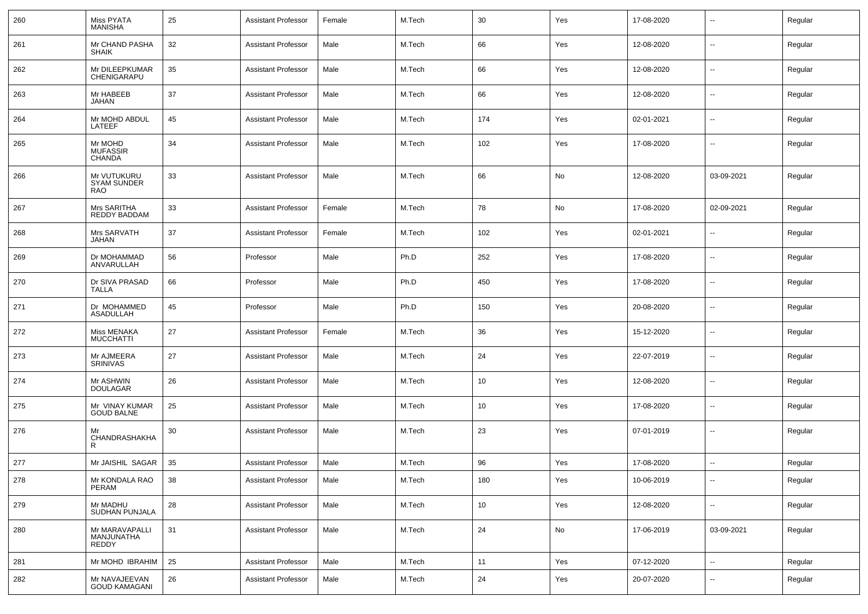| 260 | Miss PYATA<br><b>MANISHA</b>                    | 25 | Assistant Professor        | Female | M.Tech | 30              | Yes | 17-08-2020 | $\sim$                   | Regular |
|-----|-------------------------------------------------|----|----------------------------|--------|--------|-----------------|-----|------------|--------------------------|---------|
| 261 | Mr CHAND PASHA<br><b>SHAIK</b>                  | 32 | Assistant Professor        | Male   | M.Tech | 66              | Yes | 12-08-2020 | $\overline{\phantom{a}}$ | Regular |
| 262 | Mr DILEEPKUMAR<br>CHENIGARAPU                   | 35 | Assistant Professor        | Male   | M.Tech | 66              | Yes | 12-08-2020 | $\overline{\phantom{a}}$ | Regular |
| 263 | Mr HABEEB<br><b>JAHAN</b>                       | 37 | Assistant Professor        | Male   | M.Tech | 66              | Yes | 12-08-2020 | $\overline{\phantom{a}}$ | Regular |
| 264 | Mr MOHD ABDUL<br>LATEEF                         | 45 | Assistant Professor        | Male   | M.Tech | 174             | Yes | 02-01-2021 | $\overline{\phantom{a}}$ | Regular |
| 265 | Mr MOHD<br><b>MUFASSIR</b><br><b>CHANDA</b>     | 34 | Assistant Professor        | Male   | M.Tech | 102             | Yes | 17-08-2020 | $\overline{\phantom{a}}$ | Regular |
| 266 | Mr VUTUKURU<br><b>SYAM SUNDER</b><br><b>RAO</b> | 33 | <b>Assistant Professor</b> | Male   | M.Tech | 66              | No  | 12-08-2020 | 03-09-2021               | Regular |
| 267 | Mrs SARITHA<br>REDDY BADDAM                     | 33 | <b>Assistant Professor</b> | Female | M.Tech | 78              | No  | 17-08-2020 | 02-09-2021               | Regular |
| 268 | Mrs SARVATH<br>JAHAN                            | 37 | <b>Assistant Professor</b> | Female | M.Tech | 102             | Yes | 02-01-2021 | $\sim$                   | Regular |
| 269 | Dr MOHAMMAD<br>ANVARULLAH                       | 56 | Professor                  | Male   | Ph.D   | 252             | Yes | 17-08-2020 | $\overline{\phantom{a}}$ | Regular |
| 270 | Dr SIVA PRASAD<br><b>TALLA</b>                  | 66 | Professor                  | Male   | Ph.D   | 450             | Yes | 17-08-2020 | $\overline{\phantom{a}}$ | Regular |
| 271 | Dr MOHAMMED<br>ASADULLAH                        | 45 | Professor                  | Male   | Ph.D   | 150             | Yes | 20-08-2020 | $\sim$                   | Regular |
| 272 | Miss MENAKA<br><b>MUCCHATTI</b>                 | 27 | <b>Assistant Professor</b> | Female | M.Tech | 36              | Yes | 15-12-2020 | $\overline{\phantom{a}}$ | Regular |
| 273 | Mr AJMEERA<br><b>SRINIVAS</b>                   | 27 | <b>Assistant Professor</b> | Male   | M.Tech | 24              | Yes | 22-07-2019 | $\sim$                   | Regular |
| 274 | Mr ASHWIN<br><b>DOULAGAR</b>                    | 26 | <b>Assistant Professor</b> | Male   | M.Tech | 10              | Yes | 12-08-2020 | $\overline{\phantom{a}}$ | Regular |
| 275 | Mr VINAY KUMAR<br><b>GOUD BALNE</b>             | 25 | <b>Assistant Professor</b> | Male   | M.Tech | 10              | Yes | 17-08-2020 | $\overline{\phantom{a}}$ | Regular |
| 276 | Mr<br>CHANDRASHAKHA<br>R                        | 30 | <b>Assistant Professor</b> | Male   | M.Tech | 23              | Yes | 07-01-2019 | $\overline{\phantom{a}}$ | Regular |
| 277 | Mr JAISHIL SAGAR                                | 35 | <b>Assistant Professor</b> | Male   | M.Tech | 96              | Yes | 17-08-2020 |                          | Regular |
| 278 | Mr KONDALA RAO<br>PERAM                         | 38 | <b>Assistant Professor</b> | Male   | M.Tech | 180             | Yes | 10-06-2019 | $\overline{\phantom{a}}$ | Regular |
| 279 | Mr MADHU<br>SUDHAN PUNJALA                      | 28 | <b>Assistant Professor</b> | Male   | M.Tech | 10 <sup>1</sup> | Yes | 12-08-2020 | $\overline{\phantom{a}}$ | Regular |
| 280 | Mr MARAVAPALLI<br>MANJUNATHA<br>REDDY           | 31 | <b>Assistant Professor</b> | Male   | M.Tech | 24              | No  | 17-06-2019 | 03-09-2021               | Regular |
| 281 | Mr MOHD IBRAHIM                                 | 25 | <b>Assistant Professor</b> | Male   | M.Tech | 11              | Yes | 07-12-2020 | $\overline{\phantom{a}}$ | Regular |
| 282 | Mr NAVAJEEVAN<br>GOUD KAMAGANI                  | 26 | <b>Assistant Professor</b> | Male   | M.Tech | 24              | Yes | 20-07-2020 | $\overline{\phantom{a}}$ | Regular |